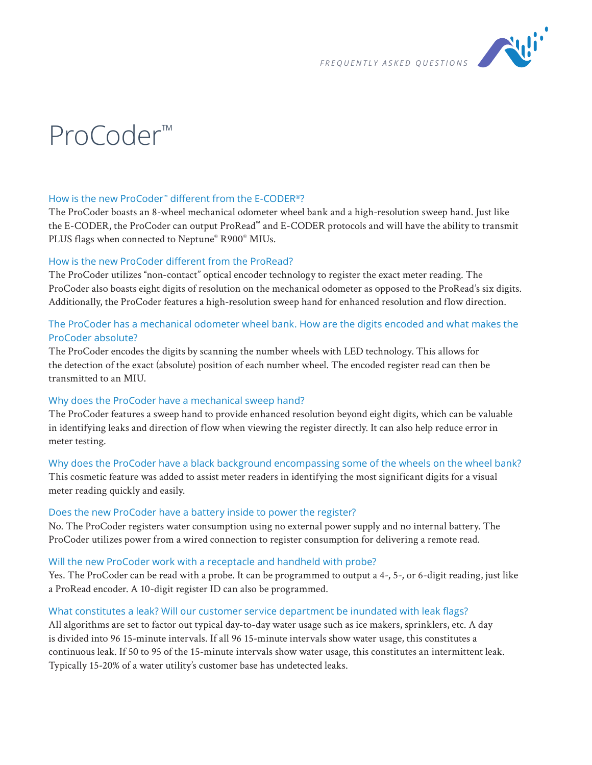

# ProCoder™

# How is the new ProCoder™ different from the E-CODER®?

The ProCoder boasts an 8-wheel mechanical odometer wheel bank and a high-resolution sweep hand. Just like the E-CODER, the ProCoder can output ProRead™ and E-CODER protocols and will have the ability to transmit PLUS flags when connected to Neptune® R900® MIUs.

# How is the new ProCoder different from the ProRead?

The ProCoder utilizes "non-contact" optical encoder technology to register the exact meter reading. The ProCoder also boasts eight digits of resolution on the mechanical odometer as opposed to the ProRead's six digits. Additionally, the ProCoder features a high-resolution sweep hand for enhanced resolution and flow direction.

# The ProCoder has a mechanical odometer wheel bank. How are the digits encoded and what makes the ProCoder absolute?

The ProCoder encodes the digits by scanning the number wheels with LED technology. This allows for the detection of the exact (absolute) position of each number wheel. The encoded register read can then be transmitted to an MIU.

# Why does the ProCoder have a mechanical sweep hand?

The ProCoder features a sweep hand to provide enhanced resolution beyond eight digits, which can be valuable in identifying leaks and direction of flow when viewing the register directly. It can also help reduce error in meter testing.

Why does the ProCoder have a black background encompassing some of the wheels on the wheel bank? This cosmetic feature was added to assist meter readers in identifying the most significant digits for a visual meter reading quickly and easily.

# Does the new ProCoder have a battery inside to power the register?

No. The ProCoder registers water consumption using no external power supply and no internal battery. The ProCoder utilizes power from a wired connection to register consumption for delivering a remote read.

#### Will the new ProCoder work with a receptacle and handheld with probe?

Yes. The ProCoder can be read with a probe. It can be programmed to output a 4-, 5-, or 6-digit reading, just like a ProRead encoder. A 10-digit register ID can also be programmed.

# What constitutes a leak? Will our customer service department be inundated with leak flags?

All algorithms are set to factor out typical day-to-day water usage such as ice makers, sprinklers, etc. A day is divided into 96 15-minute intervals. If all 96 15-minute intervals show water usage, this constitutes a continuous leak. If 50 to 95 of the 15-minute intervals show water usage, this constitutes an intermittent leak. Typically 15-20% of a water utility's customer base has undetected leaks.